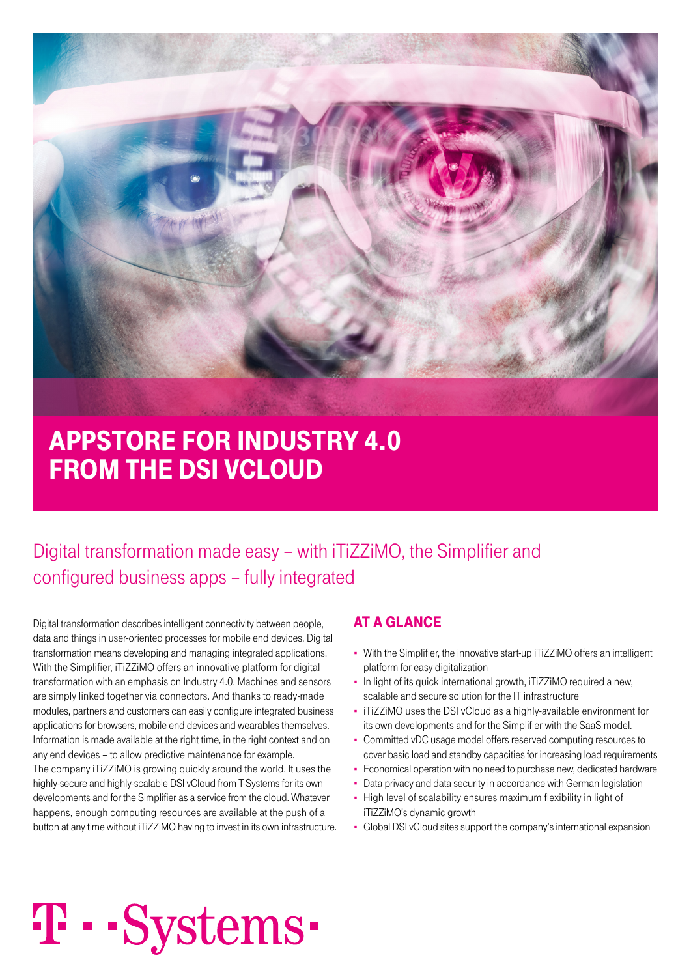

## aPPsTore for indusTry 4.0 from The dsi vcloud

### Digital transformation made easy – with iTiZZiMO, the Simplifier and configured business apps – fully integrated

Digital transformation describes intelligent connectivity between people, data and things in user-oriented processes for mobile end devices. Digital transformation means developing and managing integrated applications. With the Simplifier, iTiZZiMO offers an innovative platform for digital transformation with an emphasis on Industry 4.0. Machines and sensors are simply linked together via connectors. And thanks to ready-made modules, partners and customers can easily configure integrated business applications for browsers, mobile end devices and wearables themselves. Information is made available at the right time, in the right context and on any end devices – to allow predictive maintenance for example. The company iTiZZiMO is growing quickly around the world. It uses the highly-secure and highly-scalable DSI vCloud from T-Systems for its own developments and for the Simplifier as a service from the cloud. Whatever happens, enough computing resources are available at the push of a button at any time without iTiZZiMO having to invest in its own infrastructure.

### aT a glance

- With the Simplifier, the innovative start-up iTiZZiMO offers an intelligent platform for easy digitalization
- In light of its quick international growth, iTiZZiMO required a new, scalable and secure solution for the IT infrastructure
- iTiZZiMO uses the DSI vCloud as a highly-available environment for its own developments and for the Simplifier with the SaaS model.
- Committed vDC usage model offers reserved computing resources to cover basic load and standby capacities for increasing load requirements
- Economical operation with no need to purchase new, dedicated hardware
- Data privacy and data security in accordance with German legislation
- High level of scalability ensures maximum flexibility in light of iTiZZiMO's dynamic growth
- Global DSI vCloud sites support the company's international expansion

# T · · Systems ·